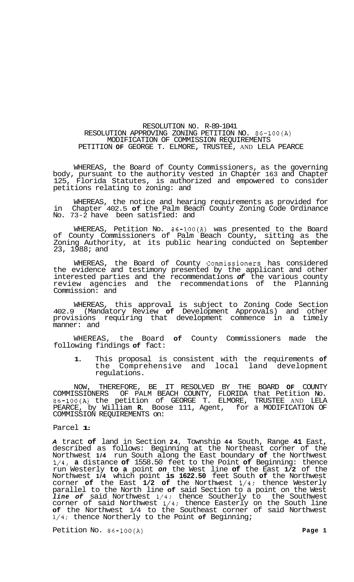## RESOLUTION NO. R-89-1041 RESOLUTION APPROVING ZONING PETITION NO. 86-100(A) MODIFICATION OF COMMISSION REQUIREMENTS PETITION **OF** GEORGE T. ELMORE, TRUSTEE, AND LELA PEARCE

WHEREAS, the Board of County Commissioners, as the governing body, pursuant to the authority vested in Chapter 163 and Chapter 125, Florida Statutes, is authorized and empowered to consider petitions relating to zoning: and

WHEREAS, the notice and hearing requirements as provided for in Chapter 402.5 **of** the Palm Beach County Zoning Code Ordinance No. 73-2 have been satisfied: and

WHEREAS, Petition No. 86-100(A) was presented to the Board of County Commissioners of Palm Beach County, sitting as the Zoning Authority, at its public hearing conducted on September 23, 1988; and

WHEREAS, the Board of County Commissioners has considered the evidence and testimony presented by the applicant and other interested parties and the recommendations *of* the various county review agencies and the recommendations of the Planning Commission: and

WHEREAS, this approval is subject to Zoning Code Section 402.9 (Mandatory Review **of** Development Approvals) and other provisions requiring that development commence in a timely manner: and

WHEREAS, the Board **of** County Commissioners made the following findings **of** fact:

**1.** This proposal is consistent with the requirements **of**  the Comprehensive and local land development regulations.

NOW, THEREFORE, BE IT RESOLVED BY THE BOARD **OF** COUNTY COMMISSIONERS OF PALM BEACH COUNTY, FLORIDA that Petition No. 86-100(A) the petition of GEORGE T. ELMORE, TRUSTEE AND LELA PEARCE, by William **R.** Boose 111, Agent, for a MODIFICATION OF COMMISSION REQUIREMENTS on:

## Parcel **1:**

*A* tract **of** land in Section **24,** Township **44** South, Range **41** East, described as follows: Beginning at the Northeast corner of the Northwest **1/4** run South along the East boundary **of** the Northwest 1/4, **a** distance **of** 1558.50 feet to the Point **of** Beginning: thence run Westerly **to a** point *on* the West line **of** the East **1/2** of the Northwest **1/4** which point **is 1622.50** feet South **of** the Northwest corner **of** the East **1/2 of** the Northwest 1/4: thence Westerly parallel to the North line **of** said Section to a point on the West *line of* said Northwest 1/4; thence Southerly to the Southwest corner of said Northwest 1/4: thence Easterly on the South line **of** the Northwest 1/4 to the Southeast corner of said Northwest **1/4;** thence Northerly to the Point **of** Beginning;

Petition No. 86-100(A) **Page 1 Page 1**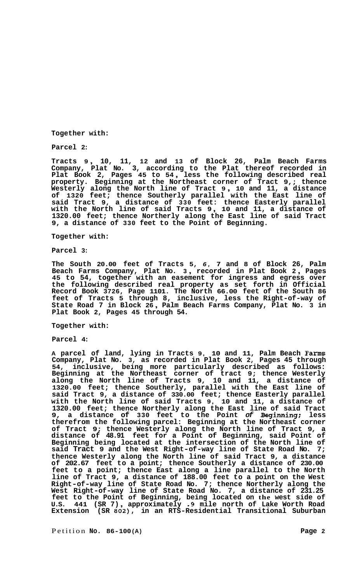**Together with:** 

**Parcel 2:** 

**Tracts <sup>9</sup>**, **10, 11, 12 and 13 of Block 26, Palm Beach Farms Company, Plat No. 3, according to the Plat thereof recorded in Plat Book 2, Pages 45 to 54** , **less the following described real property. Beginning at the Northeast corner of Tract 9,; thence Westerly along the North line of Tract <sup>9</sup>**, **10 and 11, a distance of 1320 feet; thence Southerly parallel with the East line of said Tract 9, a distance of 330 feet: thence Easterly parallel with the North line of said Tracts 9** , **10 and 11, a distance of 1320.00 feet; thence Northerly along the East line of said Tract 9, a distance of 330 feet to the Point of Beginning.** 

## **Together with:**

**Parcel 3:** 

**The South 20.00 feet of Tracts 5,** *6,* **7 and 8 of Block 26, Palm Beach Farms Company, Plat No. 3** , **recorded in Plat Book 2** , **Pages 45 to 54, together with an easement for ingress and egress over the following described real property as set forth in Official Record Book 3726, Page 1101. The North 66.00 feet of the South 86 feet of Tracts 5 through 8, inclusive, less the Right-of-way of State Road 7 in Block 26** , **Palm Beach Farms Company, Plat No. 3 in Plat Book 2, Pages 45 through 54.** 

**Together with:** 

**Parcel 4:** 

**A parcel of land, lying in Tracts 9, 10 and 11, Palm Beach Farms Company, Plat No. 3, as recorded in Plat Book 2, Pages 45 through 54, inclusive, being more particularly described as follows: Beginning at the Northeast corner of tract 9; thence Westerly along the North line of Tracts 9, 10 and 11, a distance of 1320.00 feet; thence Southerly, parallel with the East line of said Tract 9, a distance of 330.00 feet; thence Easterly parallel with the North line of said Tracts 9, 10 and 11, a distance of 1320.00 feet; thence Northerly along the East line of said Tract 9, a distance of 330 feet to the Point** *of* **Beginning; less therefrom the following parcel: Beginning at the Northeast corner of Tract 9; thence Westerly along the North line of Tract 9, a distance of 48.91 feet for a Point of Beginning, said Point of Beginning being located at the intersection of the North line of said Tract 9 and the West Right-of-way line of State Road No. 7; thence Westerly along the North line of said Tract 9, a distance of 202.67 feet to a point; thence Southerly a distance of 230.00 feet to a point; thence East along a line parallel to the North line of Tract 9, a distance of 188.00 feet to a point on the West Right-of-way line of State Road No. 7; thence Northerly along the West Right-of-way line of State Road No. 7, a distance of 231.25 feet to the Point of Beginning, being located on the west side of U.S. 441 (SR 7)** , **approximately .9 mile north of Lake Worth Road Extension (SR 802), in an RTS-Residential Transitional Suburban**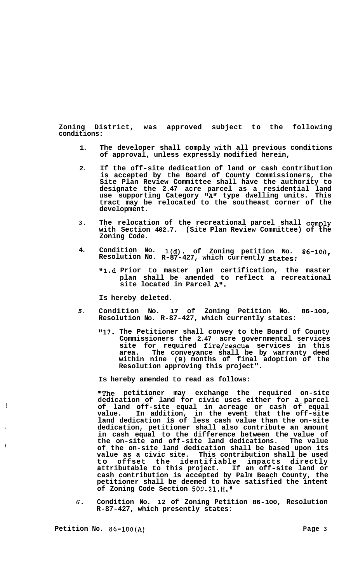**Zoning District, was approved subject to the following conditions:** 

- **1. The developer shall comply with all previous conditions of approval, unless expressly modified herein,**
- **2. If the off-site dedication of land or cash contribution is accepted by the Board of County Commissioners, the Site Plan Review Committee shall have the authority to designate the 2.47 acre parcel as a residential land use supporting Category @tAtl type dwelling units. This tract may be relocated to the southeast corner of the development.**
- **3. The relocation of the recreational parcel shall comply with Section 402.7. (Site Plan Review Committee) of the Zoning Code.**
- **4. Condition No. l(d). of Zoning petition No. 86-100, Resolution No. R-87-427, which currently states:** 
	- **"1.d Prior to master plan certification, the master plan shall be amended to reflect a recreational site located in Parcel A".**

**Is hereby deleted.** 

- *5.*  **Condition No. 17 of Zoning Petition No. 86-100, Resolution No. R-87-427, which currently states:** 
	- **"17. The Petitioner shall convey to the Board of County Commissioners the 2.47 acre governmental services site for required fire/rescue services in this area. The conveyance shall be by warranty deed within nine (9) months of final adoption of the Resolution approving this project".**

**Is hereby amended to read as follows:** 

**"The petitioner may exchange the required on-site dedication of land for civic uses either for a parcel of land off-site equal in acreage or cash of equal value. In addition, in the event that the off-site land dedication is of less cash value than the on-site dedication, petitioner shall also contribute an amount in cash equal to the difference between the value of the on-site and off-site land dedications. The value of the on-site land dedication shall be based upon its value as a civic site. This contribution shall be used to offset the identifiable impacts directly attributable to this project. If an off-site land or cash contribution is accepted by Palm Beach County, the petitioner shall be deemed to have satisfied the intent**  of Zoning Code Section 500.21.H.

*6.*  **Condition No. 12 of Zoning Petition 86-100, Resolution R-87-427, which presently states:** 

**Petition No. 86-100(A) Page 3** 

!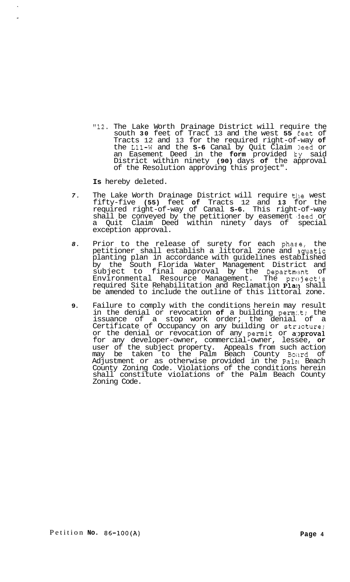"12. The Lake Worth Drainage District will require the south **30** feet of Tract 13 and the west **55** Eeet of Tracts 12 and 13 for the required right-of-way **of**  the L11-W and the **S-6** Canal by Quit Claim leed or an Easement Deed in the **form** provided ky said District within ninety **(90)** days **of** the approval of the Resolution approving this project".

**Is** hereby deleted.

- 7. The Lake Worth Drainage District will require the west fifty-five **(55)** feet **of** Tracts 12 and **13** for the required right-of-way of Canal **S-6.** This right-of-way shall be conveyed by the petitioner by easement 'deed or a Quit Claim Deed within ninety days of special exception approval.
- *8.* Prior to the release of surety for each phase, the petitioner shall establish a littoral zone and quatic planting plan in accordance with guidelines established by the South Florida Water Management District and subject to final approval by the Department of Environmental Resource Management. The project's required Site Rehabilitation and Reclamation Plan shall be amended to include the outline of this littoral zone.
- **9.** Failure to comply with the conditions herein may result in the denial or revocation **of** a building perm:.t; the issuance of a stop work order; the denial of a Certificate of Occupancy on any building or strlcture; or the denial or revocation of any permit or approval for any developer-owner, commercial-owner, lessee, **or**  user of the subject property. Appeals from such action may be taken to the Palm Beach County Boitrd of Adjustment or as otherwise provided in the Palmi Beach County Zoning Code. Violations of the conditions herein shall constitute violations of the Palm Beach County Zoning Code.